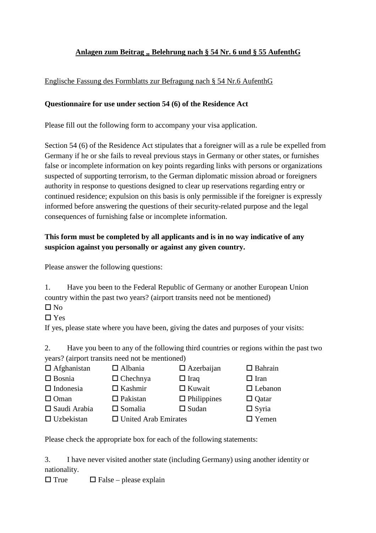### Anlagen zum Beitrag " Belehrung nach § 54 Nr. 6 und § 55 AufenthG

#### Englische Fassung des Formblatts zur Befragung nach § 54 Nr.6 AufenthG

#### **Questionnaire for use under section 54 (6) of the Residence Act**

Please fill out the following form to accompany your visa application.

Section 54 (6) of the Residence Act stipulates that a foreigner will as a rule be expelled from Germany if he or she fails to reveal previous stays in Germany or other states, or furnishes false or incomplete information on key points regarding links with persons or organizations suspected of supporting terrorism, to the German diplomatic mission abroad or foreigners authority in response to questions designed to clear up reservations regarding entry or continued residence; expulsion on this basis is only permissible if the foreigner is expressly informed before answering the questions of their security-related purpose and the legal consequences of furnishing false or incomplete information.

## **This form must be completed by all applicants and is in no way indicative of any suspicion against you personally or against any given country.**

Please answer the following questions:

1. Have you been to the Federal Republic of Germany or another European Union country within the past two years? (airport transits need not be mentioned)

 $\Box$  No

□ Yes

If yes, please state where you have been, giving the dates and purposes of your visits:

2. Have you been to any of the following third countries or regions within the past two years? (airport transits need not be mentioned)

 $\Box$  Afghanistan  $\Box$  Albania  $\Box$  Azerbaijan  $\Box$  Bahrain

- $\Box$  Bosnia  $\Box$  Chechnya  $\Box$  Iraq  $\Box$  Iran
- $\Box$  Indonesia  $\Box$  Kashmir  $\Box$  Kuwait  $\Box$  Lebanon
- 
- $\square$  Oman  $\square$  Pakistan  $\square$  Philippines  $\square$  Qatar
- $\square$  Saudi Arabia  $\square$  Somalia  $\square$  Sudan  $\square$  Syria
- $\Box$  Uzbekistan  $\Box$  United Arab Emirates  $\Box$  Yemen

Please check the appropriate box for each of the following statements:

3. I have never visited another state (including Germany) using another identity or nationality.

 $\Box$  True  $\Box$  False – please explain